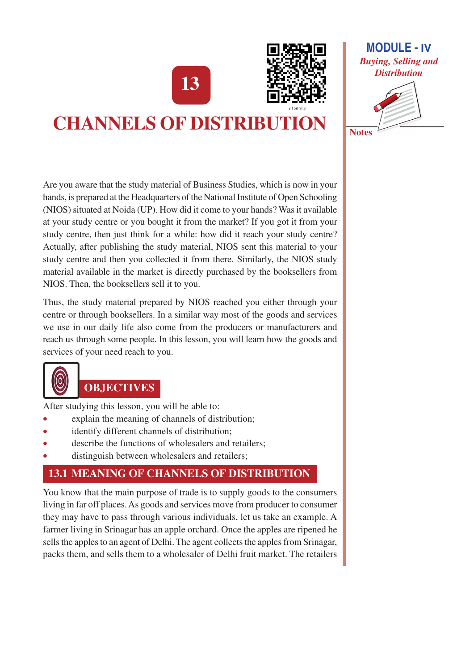13



# **CHANNELS OF DISTRIBUTION**

Are you aware that the study material of Business Studies, which is now in your hands, is prepared at the Headquarters of the National Institute of Open Schooling (NIOS) situated at Noida (UP). How did it come to your hands? Was it available at your study centre or you bought it from the market? If you got it from your study centre, then just think for a while: how did it reach your study centre? Actually, after publishing the study material, NIOS sent this material to your study centre and then you collected it from there. Similarly, the NIOS study material available in the market is directly purchased by the booksellers from NIOS. Then, the booksellers sell it to you.

Thus, the study material prepared by NIOS reached you either through your centre or through booksellers. In a similar way most of the goods and services we use in our daily life also come from the producers or manufacturers and reach us through some people. In this lesson, you will learn how the goods and services of your need reach to you.



# **OBJECTIVES**

After studying this lesson, you will be able to:

- explain the meaning of channels of distribution;  $\bullet$
- identify different channels of distribution;
- describe the functions of wholesalers and retailers;
- distinguish between wholesalers and retailers;

# **13.1 MEANING OF CHANNELS OF DISTRIBUTION**

You know that the main purpose of trade is to supply goods to the consumers living in far off places. As goods and services move from producer to consumer they may have to pass through various individuals, let us take an example. A farmer living in Srinagar has an apple orchard. Once the apples are ripened he sells the apples to an agent of Delhi. The agent collects the apples from Srinagar, packs them, and sells them to a wholesaler of Delhi fruit market. The retailers



**Notes**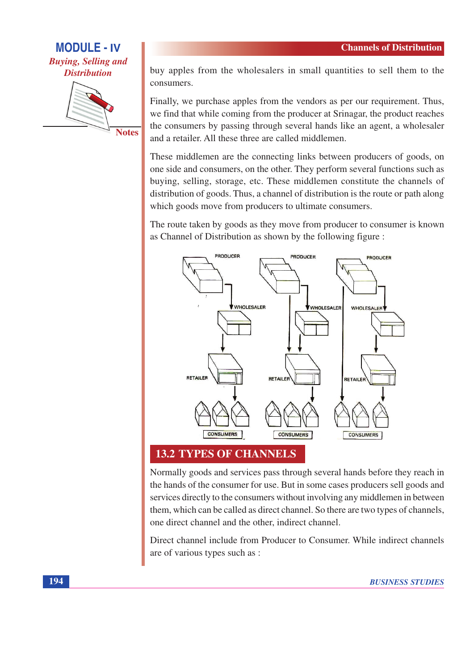## **MODULE - IV Buying, Selling and Distribution**



buy apples from the wholesalers in small quantities to sell them to the consumers.

Finally, we purchase apples from the vendors as per our requirement. Thus, we find that while coming from the producer at Srinagar, the product reaches the consumers by passing through several hands like an agent, a wholesaler and a retailer. All these three are called middlemen.

These middlemen are the connecting links between producers of goods, on one side and consumers, on the other. They perform several functions such as buying, selling, storage, etc. These middlemen constitute the channels of distribution of goods. Thus, a channel of distribution is the route or path along which goods move from producers to ultimate consumers.

The route taken by goods as they move from producer to consumer is known as Channel of Distribution as shown by the following figure:



**13.2 TYPES OF CHANNELS** 

Normally goods and services pass through several hands before they reach in the hands of the consumer for use. But in some cases producers sell goods and services directly to the consumers without involving any middlemen in between them, which can be called as direct channel. So there are two types of channels, one direct channel and the other, indirect channel.

Direct channel include from Producer to Consumer. While indirect channels are of various types such as :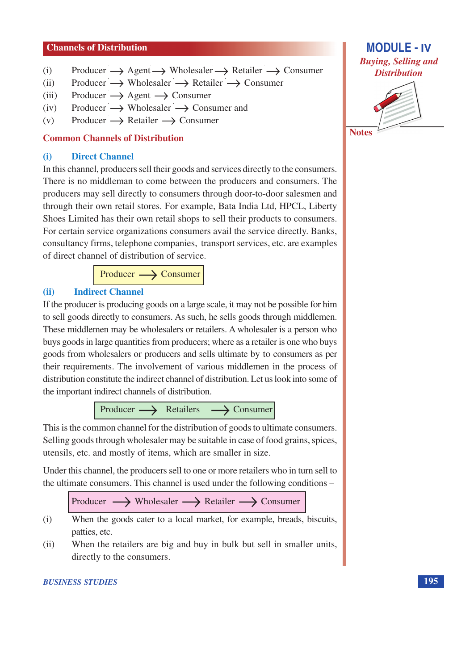#### **Channels of Distribution**

- Producer  $\rightarrow$  Agent  $\rightarrow$  Wholesaler  $\rightarrow$  Retailer  $\rightarrow$  Consumer  $(i)$
- Producer  $\rightarrow$  Wholesaler  $\rightarrow$  Retailer  $\rightarrow$  Consumer  $(ii)$
- Producer  $\longrightarrow$  Agent  $\longrightarrow$  Consumer  $(iii)$
- Producer  $\rightarrow$  Wholesaler  $\rightarrow$  Consumer and  $(iv)$
- Producer  $\rightarrow$  Retailer  $\rightarrow$  Consumer  $(v)$

#### **Common Channels of Distribution**

#### **Direct Channel**  $(i)$

In this channel, producers sell their goods and services directly to the consumers. There is no middleman to come between the producers and consumers. The producers may sell directly to consumers through door-to-door salesmen and through their own retail stores. For example, Bata India Ltd, HPCL, Liberty Shoes Limited has their own retail shops to sell their products to consumers. For certain service organizations consumers avail the service directly. Banks, consultancy firms, telephone companies, transport services, etc. are examples of direct channel of distribution of service.

> $\rightarrow$  Consumer Producer -

#### **Indirect Channel**  $(ii)$

If the producer is producing goods on a large scale, it may not be possible for him to sell goods directly to consumers. As such, he sells goods through middlemen. These middlemen may be wholesalers or retailers. A wholesaler is a person who buys goods in large quantities from producers; where as a retailer is one who buys goods from wholesalers or producers and sells ultimate by to consumers as per their requirements. The involvement of various middlemen in the process of distribution constitute the indirect channel of distribution. Let us look into some of the important indirect channels of distribution.

Producer  $\longrightarrow$  Retailers  $\longrightarrow$  Consumer

This is the common channel for the distribution of goods to ultimate consumers. Selling goods through wholesaler may be suitable in case of food grains, spices, utensils, etc. and mostly of items, which are smaller in size.

Under this channel, the producers sell to one or more retailers who in turn sell to the ultimate consumers. This channel is used under the following conditions –



- $(i)$ When the goods cater to a local market, for example, breads, biscuits, patties, etc.
- When the retailers are big and buy in bulk but sell in smaller units.  $(ii)$ directly to the consumers.



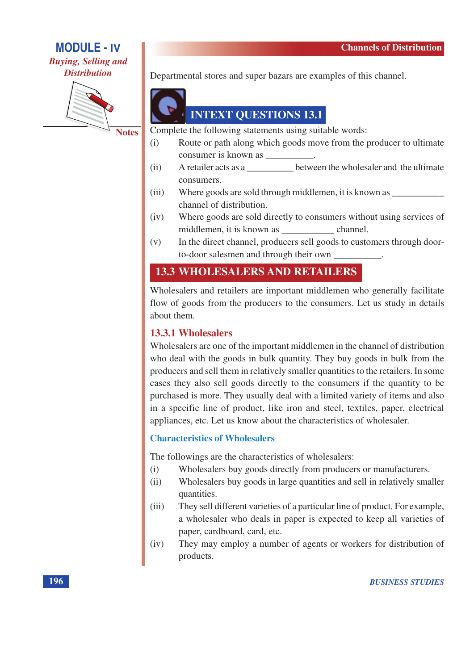### **MODULE - IV Buying, Selling and Distribution**



**Notes** 

Departmental stores and super bazars are examples of this channel.



Complete the following statements using suitable words:

- $(i)$ Route or path along which goods move from the producer to ultimate
- between the wholesaler and the ultimate  $(ii)$ A retailer acts as a consumers.
- Where goods are sold through middlemen, it is known as  $(iii)$ channel of distribution.
- Where goods are sold directly to consumers without using services of  $(iv)$ middlemen, it is known as channel.
- $(v)$ In the direct channel, producers sell goods to customers through doorto-door salesmen and through their own

### **13.3 WHOLESALERS AND RETAILERS**

Wholesalers and retailers are important middlemen who generally facilitate flow of goods from the producers to the consumers. Let us study in details about them.

#### **13.3.1 Wholesalers**

Wholesalers are one of the important middlemen in the channel of distribution who deal with the goods in bulk quantity. They buy goods in bulk from the producers and sell them in relatively smaller quantities to the retailers. In some cases they also sell goods directly to the consumers if the quantity to be purchased is more. They usually deal with a limited variety of items and also in a specific line of product, like iron and steel, textiles, paper, electrical appliances, etc. Let us know about the characteristics of wholesaler.

#### **Characteristics of Wholesalers**

The followings are the characteristics of wholesalers:

- Wholesalers buy goods directly from producers or manufacturers.  $(i)$
- Wholesalers buy goods in large quantities and sell in relatively smaller  $(ii)$ quantities.
- $(iii)$ They sell different varieties of a particular line of product. For example, a wholesaler who deals in paper is expected to keep all varieties of paper, cardboard, card, etc.
- $(iv)$ They may employ a number of agents or workers for distribution of products.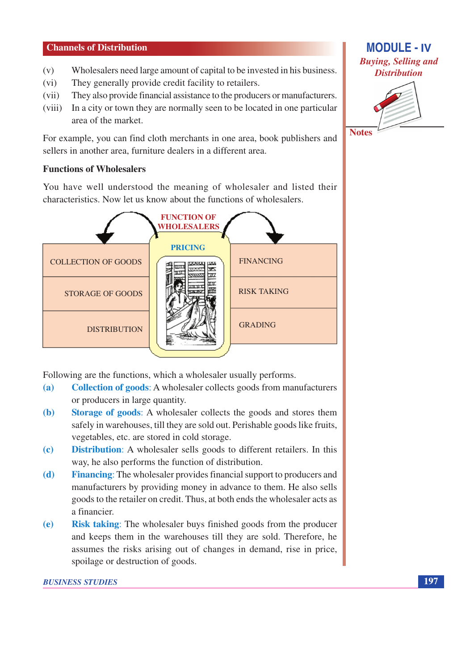#### **Channels of Distribution**

- Wholesalers need large amount of capital to be invested in his business.  $(v)$
- They generally provide credit facility to retailers.  $(vi)$
- They also provide financial assistance to the producers or manufacturers.  $(vii)$
- In a city or town they are normally seen to be located in one particular  $(viii)$ area of the market.

For example, you can find cloth merchants in one area, book publishers and sellers in another area, furniture dealers in a different area.

#### **Functions of Wholesalers**

You have well understood the meaning of wholesaler and listed their characteristics. Now let us know about the functions of wholesalers.



Following are the functions, which a wholesaler usually performs.

- **Collection of goods:** A wholesaler collects goods from manufacturers  $(a)$ or producers in large quantity.
- **Storage of goods:** A wholesaler collects the goods and stores them **(b)** safely in warehouses, till they are sold out. Perishable goods like fruits, vegetables, etc. are stored in cold storage.
- **Distribution:** A wholesaler sells goods to different retailers. In this  $\left( \mathbf{c} \right)$ way, he also performs the function of distribution.
- **Financing:** The wholesaler provides financial support to producers and (d) manufacturers by providing money in advance to them. He also sells goods to the retailer on credit. Thus, at both ends the wholesaler acts as a financier.
- **Risk taking:** The wholesaler buys finished goods from the producer **(e)** and keeps them in the warehouses till they are sold. Therefore, he assumes the risks arising out of changes in demand, rise in price, spoilage or destruction of goods.

#### **BUSINESS STUDIES**

**MODULE - IV Buying, Selling and Distribution** 



**Notes** 

197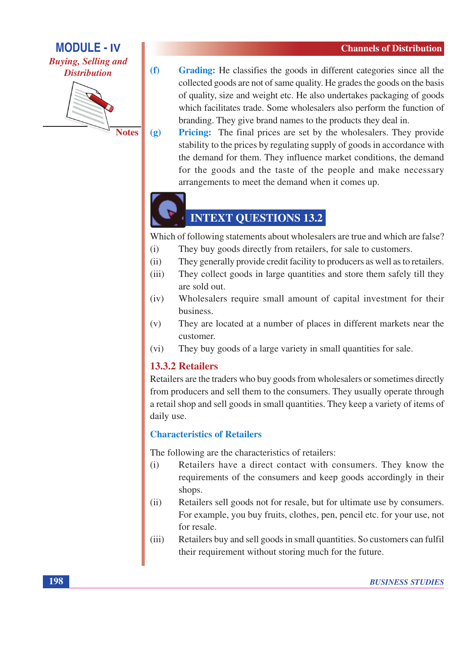#### **MODULE - IV Buying, Selling and Distribution**



 $(2)$ **Notes** 

- $(f)$ Grading: He classifies the goods in different categories since all the collected goods are not of same quality. He grades the goods on the basis of quality, size and weight etc. He also undertakes packaging of goods which facilitates trade. Some wholesalers also perform the function of branding. They give brand names to the products they deal in.
	- **Pricing:** The final prices are set by the wholesalers. They provide stability to the prices by regulating supply of goods in accordance with the demand for them. They influence market conditions, the demand for the goods and the taste of the people and make necessary arrangements to meet the demand when it comes up.



# **INTEXT QUESTIONS 13.2**

Which of following statements about wholesalers are true and which are false?

- They buy goods directly from retailers, for sale to customers.  $(i)$
- They generally provide credit facility to producers as well as to retailers.  $(ii)$
- They collect goods in large quantities and store them safely till they  $(iii)$ are sold out.
- Wholesalers require small amount of capital investment for their  $(iv)$ business.
- They are located at a number of places in different markets near the  $(v)$ customer.
- They buy goods of a large variety in small quantities for sale.  $(vi)$

#### **13.3.2 Retailers**

Retailers are the traders who buy goods from wholesalers or sometimes directly from producers and sell them to the consumers. They usually operate through a retail shop and sell goods in small quantities. They keep a variety of items of daily use.

#### **Characteristics of Retailers**

The following are the characteristics of retailers:

- $(i)$ Retailers have a direct contact with consumers. They know the requirements of the consumers and keep goods accordingly in their shops.
- Retailers sell goods not for resale, but for ultimate use by consumers.  $(ii)$ For example, you buy fruits, clothes, pen, pencil etc. for your use, not for resale.
- Retailers buy and sell goods in small quantities. So customers can fulfil  $(iii)$ their requirement without storing much for the future.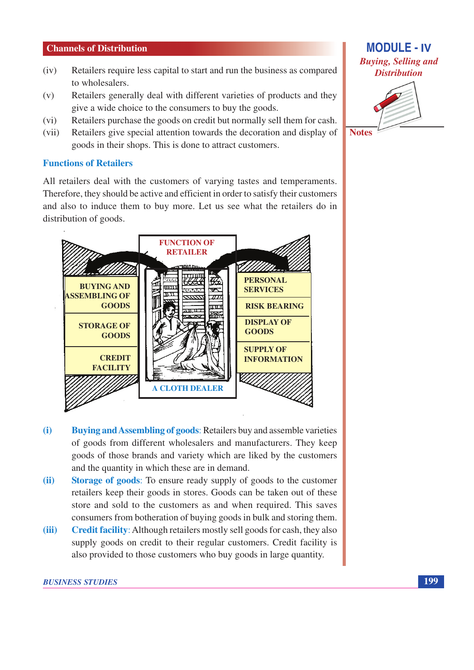#### **Channels of Distribution**

- Retailers require less capital to start and run the business as compared  $(iv)$ to wholesalers.
- Retailers generally deal with different varieties of products and they  $(v)$ give a wide choice to the consumers to buy the goods.
- Retailers purchase the goods on credit but normally sell them for cash.  $(vi)$
- Retailers give special attention towards the decoration and display of  $(vii)$ goods in their shops. This is done to attract customers.

#### **Functions of Retailers**

All retailers deal with the customers of varying tastes and temperaments. Therefore, they should be active and efficient in order to satisfy their customers and also to induce them to buy more. Let us see what the retailers do in distribution of goods.



- **Buying and Assembling of goods: Retailers buy and assemble varieties**  $(i)$ of goods from different wholesalers and manufacturers. They keep goods of those brands and variety which are liked by the customers and the quantity in which these are in demand.
- $(ii)$ **Storage of goods:** To ensure ready supply of goods to the customer retailers keep their goods in stores. Goods can be taken out of these store and sold to the customers as and when required. This saves consumers from botheration of buying goods in bulk and storing them.
- **Credit facility:** Although retailers mostly sell goods for cash, they also  $(iii)$ supply goods on credit to their regular customers. Credit facility is also provided to those customers who buy goods in large quantity.



**MODULE - IV** 

**Notes** 

199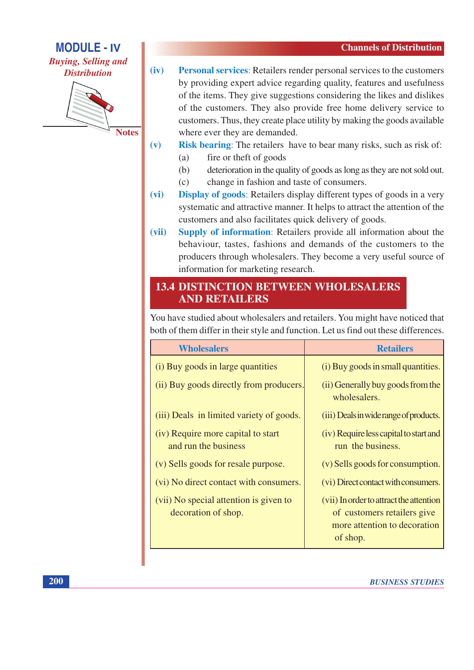**Buying, Selling and Distribution** 

**MODULE - IV** 



**Notes** 

- $(iv)$ **Personal services:** Retailers render personal services to the customers by providing expert advice regarding quality, features and usefulness of the items. They give suggestions considering the likes and dislikes of the customers. They also provide free home delivery service to customers. Thus, they create place utility by making the goods available where ever they are demanded.
- **Risk bearing:** The retailers have to bear many risks, such as risk of:  $(v)$ 
	- fire or theft of goods  $(a)$
	- $(b)$ deterioration in the quality of goods as long as they are not sold out.
	- $(c)$ change in fashion and taste of consumers.
- $(vi)$ **Display of goods:** Retailers display different types of goods in a very systematic and attractive manner. It helps to attract the attention of the customers and also facilitates quick delivery of goods.
- Supply of information: Retailers provide all information about the  $(vii)$ behaviour, tastes, fashions and demands of the customers to the producers through wholesalers. They become a very useful source of information for marketing research.

### **13.4 DISTINCTION BETWEEN WHOLESALERS AND RETAILERS**

You have studied about wholesalers and retailers. You might have noticed that both of them differ in their style and function. Let us find out these differences.

| <b>Wholesalers</b>                                            | <b>Retailers</b>                                                                                                   |
|---------------------------------------------------------------|--------------------------------------------------------------------------------------------------------------------|
| (i) Buy goods in large quantities                             | (i) Buy goods in small quantities.                                                                                 |
| (ii) Buy goods directly from producers.                       | (ii) Generally buy goods from the<br>wholesalers.                                                                  |
| (iii) Deals in limited variety of goods.                      | (iii) Deals in wide range of products.                                                                             |
| (iv) Require more capital to start<br>and run the business    | (iv) Require less capital to start and<br>run the business.                                                        |
| (v) Sells goods for resale purpose.                           | (v) Sells goods for consumption.                                                                                   |
| (vi) No direct contact with consumers.                        | (vi) Direct contact with consumers.                                                                                |
| (vii) No special attention is given to<br>decoration of shop. | (vii) In order to attract the attention<br>of customers retailers give<br>more attention to decoration<br>of shop. |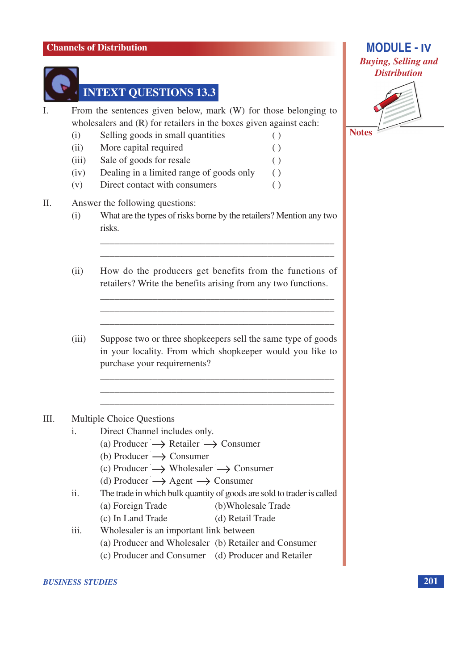

# **INTEXT QUESTIONS 13.3**

From the sentences given below, mark (W) for those belonging to  $\mathbf{I}$ wholesalers and  $(R)$  for retailers in the boxes given against each:

- Selling goods in small quantities  $(i)$  $\left( \ \right)$
- More capital required  $(ii)$  $\left( \ \right)$  $\left( \ \right)$
- $(iii)$ Sale of goods for resale  $( )$
- Dealing in a limited range of goods only  $(iv)$
- Direct contact with consumers  $(v)$

#### II. Answer the following questions:

What are the types of risks borne by the retailers? Mention any two  $(i)$ risks.

 $\left( \ \right)$ 

- $(ii)$ How do the producers get benefits from the functions of retailers? Write the benefits arising from any two functions.
- Suppose two or three shopkeepers sell the same type of goods  $(iii)$ in your locality. From which shopkeeper would you like to purchase your requirements?

#### $III.$ Multiple Choice Questions

- Direct Channel includes only.  $\mathbf{i}$ .
	- (a) Producer  $\rightarrow$  Retailer  $\rightarrow$  Consumer
	- (b) Producer  $\rightarrow$  Consumer
	- (c) Producer  $\longrightarrow$  Wholesaler  $\longrightarrow$  Consumer
	- (d) Producer  $\longrightarrow$  Agent  $\longrightarrow$  Consumer
- $ii.$ The trade in which bulk quantity of goods are sold to trader is called
	- (b)Wholesale Trade (a) Foreign Trade
	- (c) In Land Trade (d) Retail Trade
- Wholesaler is an important link between iii.
	- (a) Producer and Wholesaler (b) Retailer and Consumer
	- (c) Producer and Consumer (d) Producer and Retailer



**MODULE - IV** 

**Notes**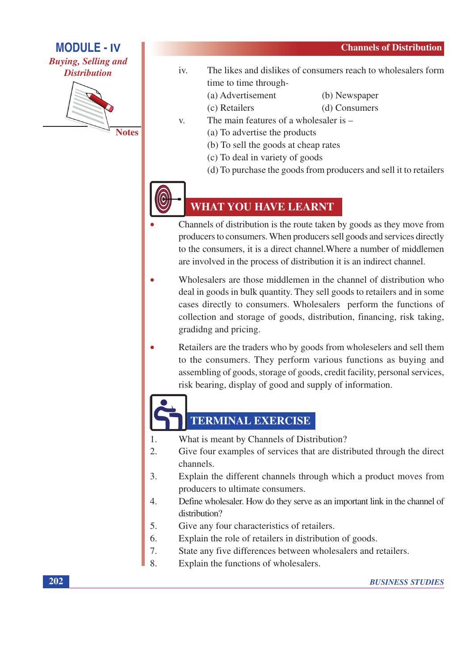**MODULE - IV Buying, Selling and** 

**Distribution** 



**Notes** 

- $iv.$ The likes and dislikes of consumers reach to wholesalers form time to time through-
	- (a) Advertisement

(c) Retailers

- (b) Newspaper (d) Consumers
- 
- The main features of a wholesaler is  $-$ V.
	- (a) To advertise the products
	- (b) To sell the goods at cheap rates
	- (c) To deal in variety of goods
	- (d) To purchase the goods from producers and sell it to retailers



### **WHAT YOU HAVE LEARNT**

- Channels of distribution is the route taken by goods as they move from producers to consumers. When producers sell goods and services directly to the consumers, it is a direct channel. Where a number of middlemen are involved in the process of distribution it is an indirect channel.
- Wholesalers are those middlemen in the channel of distribution who deal in goods in bulk quantity. They sell goods to retailers and in some cases directly to consumers. Wholesalers perform the functions of collection and storage of goods, distribution, financing, risk taking, gradidng and pricing.
- Retailers are the traders who by goods from wholeselers and sell them to the consumers. They perform various functions as buying and assembling of goods, storage of goods, credit facility, personal services, risk bearing, display of good and supply of information.



# TERMINAL EXERCISE

- What is meant by Channels of Distribution?  $\mathbf{1}$ .
- $2<sup>1</sup>$ Give four examples of services that are distributed through the direct channels.
- Explain the different channels through which a product moves from 3. producers to ultimate consumers.
- Define wholesaler. How do they serve as an important link in the channel of  $\overline{4}$ . distribution?
- 5. Give any four characteristics of retailers.
- Explain the role of retailers in distribution of goods. 6.
- 7. State any five differences between wholesalers and retailers.
- $\overline{8}$ Explain the functions of wholesalers.